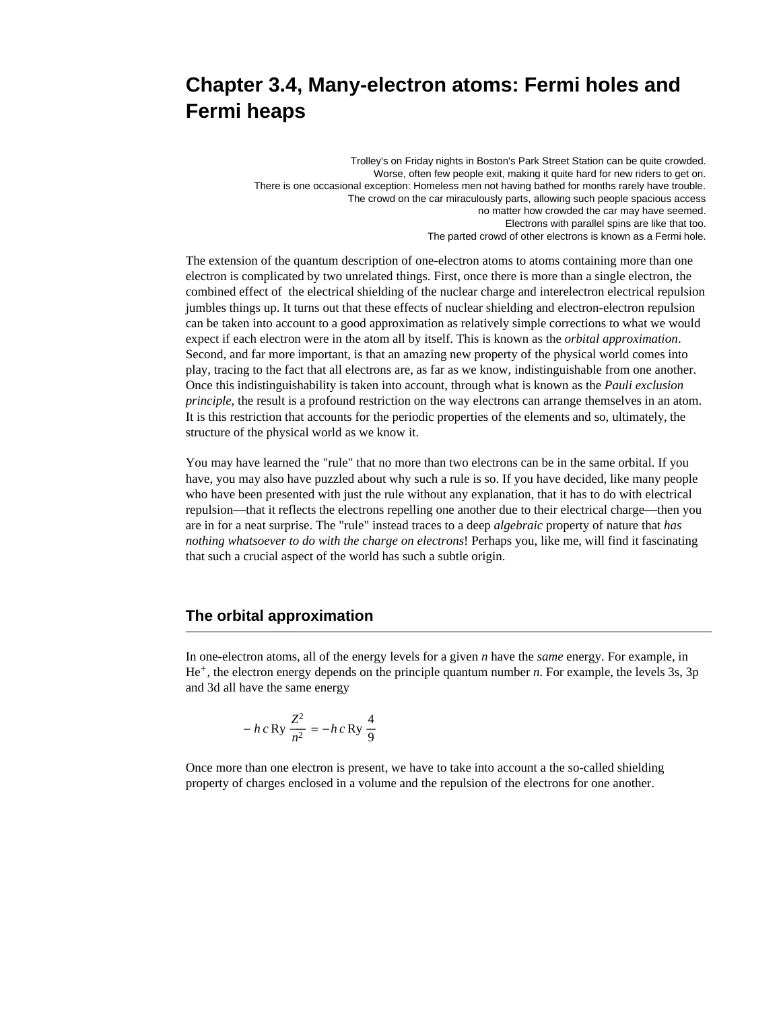# **Chapter 3.4, Many-electron atoms: Fermi holes and Fermi heaps**

Trolley's on Friday nights in Boston's Park Street Station can be quite crowded. Worse, often few people exit, making it quite hard for new riders to get on. There is one occasional exception: Homeless men not having bathed for months rarely have trouble. The crowd on the car miraculously parts, allowing such people spacious access no matter how crowded the car may have seemed. Electrons with parallel spins are like that too. The parted crowd of other electrons is known as a Fermi hole.

The extension of the quantum description of one-electron atoms to atoms containing more than one electron is complicated by two unrelated things. First, once there is more than a single electron, the combined effect of the electrical shielding of the nuclear charge and interelectron electrical repulsion jumbles things up. It turns out that these effects of nuclear shielding and electron-electron repulsion can be taken into account to a good approximation as relatively simple corrections to what we would expect if each electron were in the atom all by itself. This is known as the *orbital approximation*. Second, and far more important, is that an amazing new property of the physical world comes into play, tracing to the fact that all electrons are, as far as we know, indistinguishable from one another. Once this indistinguishability is taken into account, through what is known as the *Pauli exclusion principle*, the result is a profound restriction on the way electrons can arrange themselves in an atom. It is this restriction that accounts for the periodic properties of the elements and so, ultimately, the structure of the physical world as we know it.

You may have learned the "rule" that no more than two electrons can be in the same orbital. If you have, you may also have puzzled about why such a rule is so. If you have decided, like many people who have been presented with just the rule without any explanation, that it has to do with electrical repulsion—that it reflects the electrons repelling one another due to their electrical charge—then you are in for a neat surprise. The "rule" instead traces to a deep *algebraic* property of nature that *has nothing whatsoever to do with the charge on electrons*! Perhaps you, like me, will find it fascinating that such a crucial aspect of the world has such a subtle origin.

# **The orbital approximation**

In one-electron atoms, all of the energy levels for a given *n* have the *same* energy. For example, in He<sup>+</sup>, the electron energy depends on the principle quantum number *n*. For example, the levels 3s, 3p and 3d all have the same energy

$$
- h c \operatorname{Ry} \frac{Z^2}{n^2} = - h c \operatorname{Ry} \frac{4}{9}
$$

Once more than one electron is present, we have to take into account a the so-called shielding property of charges enclosed in a volume and the repulsion of the electrons for one another.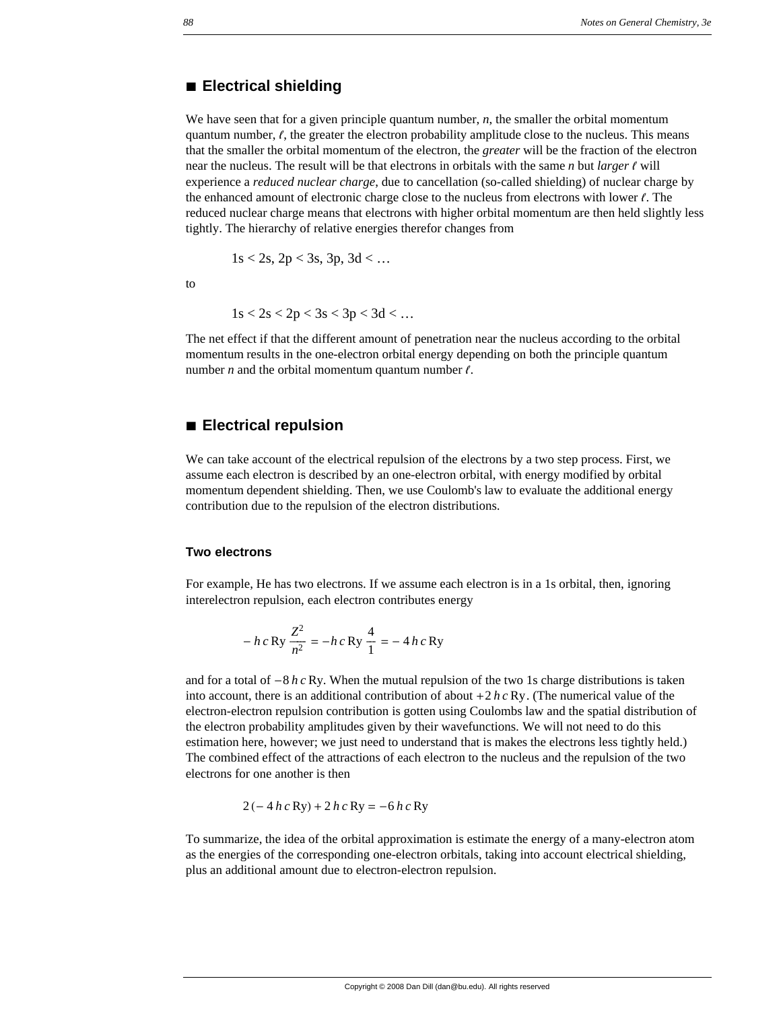#### **à Electrical shielding**

We have seen that for a given principle quantum number, *n*, the smaller the orbital momentum quantum number,  $\ell$ , the greater the electron probability amplitude close to the nucleus. This means that the smaller the orbital momentum of the electron, the *greater* will be the fraction of the electron near the nucleus. The result will be that electrons in orbitals with the same  $n$  but *larger*  $\ell$  will experience a *reduced nuclear charge*, due to cancellation (so-called shielding) of nuclear charge by the enhanced amount of electronic charge close to the nucleus from electrons with lower  $\ell$ . The reduced nuclear charge means that electrons with higher orbital momentum are then held slightly less tightly. The hierarchy of relative energies therefor changes from

$$
1s < 2s
$$
,  $2p < 3s$ ,  $3p$ ,  $3d < \dots$ 

to

$$
1s < 2s < 2p < 3s < 3p < 3d < \dots
$$

The net effect if that the different amount of penetration near the nucleus according to the orbital momentum results in the one-electron orbital energy depending on both the principle quantum number  $n$  and the orbital momentum quantum number  $\ell$ .

#### **à Electrical repulsion**

We can take account of the electrical repulsion of the electrons by a two step process. First, we assume each electron is described by an one-electron orbital, with energy modified by orbital momentum dependent shielding. Then, we use Coulomb's law to evaluate the additional energy contribution due to the repulsion of the electron distributions.

#### **Two electrons**

For example, He has two electrons. If we assume each electron is in a 1s orbital, then, ignoring interelectron repulsion, each electron contributes energy

$$
- h c \text{ Ry} \frac{Z^2}{n^2} = - h c \text{ Ry} \frac{4}{1} = - 4 h c \text{ Ry}
$$

and for a total of  $-8 h c Ry$ . When the mutual repulsion of the two 1s charge distributions is taken into account, there is an additional contribution of about  $+2 h c R y$ . (The numerical value of the electron-electron repulsion contribution is gotten using Coulombs law and the spatial distribution of the electron probability amplitudes given by their wavefunctions. We will not need to do this estimation here, however; we just need to understand that is makes the electrons less tightly held.) The combined effect of the attractions of each electron to the nucleus and the repulsion of the two electrons for one another is then

$$
2(-4 h c \text{Ry}) + 2 h c \text{Ry} = -6 h c \text{Ry}
$$

To summarize, the idea of the orbital approximation is estimate the energy of a many-electron atom as the energies of the corresponding one-electron orbitals, taking into account electrical shielding, plus an additional amount due to electron-electron repulsion.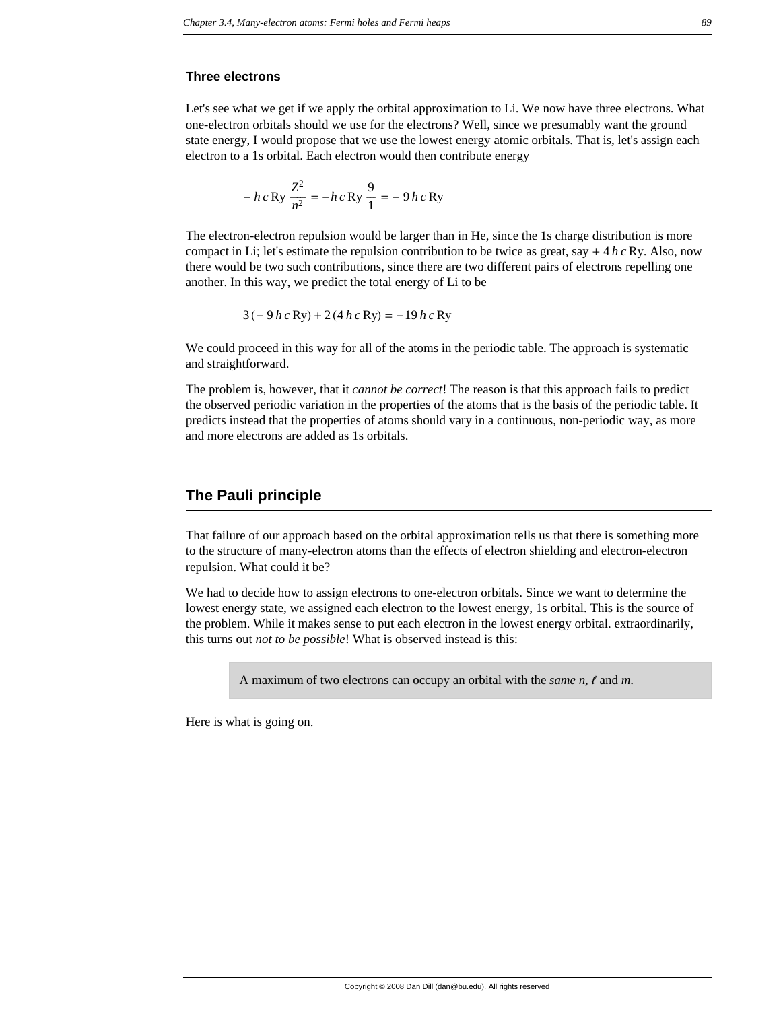#### **Three electrons**

Let's see what we get if we apply the orbital approximation to Li. We now have three electrons. What one-electron orbitals should we use for the electrons? Well, since we presumably want the ground state energy, I would propose that we use the lowest energy atomic orbitals. That is, let's assign each electron to a 1s orbital. Each electron would then contribute energy

$$
- h c \,\text{Ry} \, \frac{Z^2}{n^2} = - h c \,\text{Ry} \, \frac{9}{1} = - 9 h c \,\text{Ry}
$$

The electron-electron repulsion would be larger than in He, since the 1s charge distribution is more compact in Li; let's estimate the repulsion contribution to be twice as great, say  $+ 4 h c R y$ . Also, now there would be two such contributions, since there are two different pairs of electrons repelling one another. In this way, we predict the total energy of Li to be

$$
3(-9 h c Ry) + 2 (4 h c Ry) = -19 h c Ry
$$

We could proceed in this way for all of the atoms in the periodic table. The approach is systematic and straightforward.

The problem is, however, that it *cannot be correct*! The reason is that this approach fails to predict the observed periodic variation in the properties of the atoms that is the basis of the periodic table. It predicts instead that the properties of atoms should vary in a continuous, non-periodic way, as more and more electrons are added as 1s orbitals.

#### **The Pauli principle**

That failure of our approach based on the orbital approximation tells us that there is something more to the structure of many-electron atoms than the effects of electron shielding and electron-electron repulsion. What could it be?

We had to decide how to assign electrons to one-electron orbitals. Since we want to determine the lowest energy state, we assigned each electron to the lowest energy, 1s orbital. This is the source of the problem. While it makes sense to put each electron in the lowest energy orbital. extraordinarily, this turns out *not to be possible*! What is observed instead is this:

A maximum of two electrons can occupy an orbital with the *same* n,  $\ell$  and m.

Here is what is going on.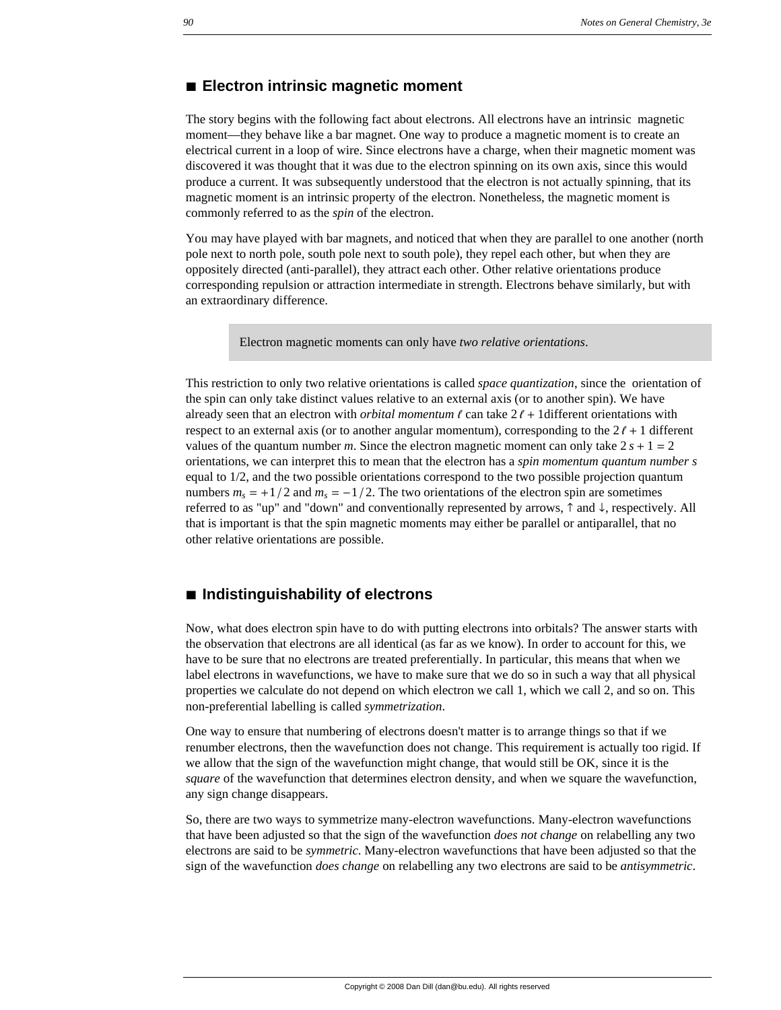#### **à Electron intrinsic magnetic moment**

The story begins with the following fact about electrons. All electrons have an intrinsic magnetic moment—they behave like a bar magnet. One way to produce a magnetic moment is to create an electrical current in a loop of wire. Since electrons have a charge, when their magnetic moment was discovered it was thought that it was due to the electron spinning on its own axis, since this would produce a current. It was subsequently understood that the electron is not actually spinning, that its magnetic moment is an intrinsic property of the electron. Nonetheless, the magnetic moment is commonly referred to as the *spin* of the electron.

You may have played with bar magnets, and noticed that when they are parallel to one another (north pole next to north pole, south pole next to south pole), they repel each other, but when they are oppositely directed (anti-parallel), they attract each other. Other relative orientations produce corresponding repulsion or attraction intermediate in strength. Electrons behave similarly, but with an extraordinary difference.

Electron magnetic moments can only have *two relative orientations*.

This restriction to only two relative orientations is called *space quantization*, since the orientation of the spin can only take distinct values relative to an external axis (or to another spin). We have already seen that an electron with *orbital momentum*  $\ell$  can take  $2\ell + 1$  different orientations with respect to an external axis (or to another angular momentum), corresponding to the  $2\ell + 1$  different values of the quantum number *m*. Since the electron magnetic moment can only take  $2s + 1 = 2$ orientations, we can interpret this to mean that the electron has a *spin momentum quantum number s* equal to 1/2, and the two possible orientations correspond to the two possible projection quantum numbers  $m_s = +1/2$  and  $m_s = -1/2$ . The two orientations of the electron spin are sometimes referred to as "up" and "down" and conventionally represented by arrows,  $\uparrow$  and  $\downarrow$ , respectively. All that is important is that the spin magnetic moments may either be parallel or antiparallel, that no other relative orientations are possible.

# **à Indistinguishability of electrons**

Now, what does electron spin have to do with putting electrons into orbitals? The answer starts with the observation that electrons are all identical (as far as we know). In order to account for this, we have to be sure that no electrons are treated preferentially. In particular, this means that when we label electrons in wavefunctions, we have to make sure that we do so in such a way that all physical properties we calculate do not depend on which electron we call 1, which we call 2, and so on. This non-preferential labelling is called *symmetrization*.

One way to ensure that numbering of electrons doesn't matter is to arrange things so that if we renumber electrons, then the wavefunction does not change. This requirement is actually too rigid. If we allow that the sign of the wavefunction might change, that would still be OK, since it is the *square* of the wavefunction that determines electron density, and when we square the wavefunction, any sign change disappears.

So, there are two ways to symmetrize many-electron wavefunctions. Many-electron wavefunctions that have been adjusted so that the sign of the wavefunction *does not change* on relabelling any two electrons are said to be *symmetric*. Many-electron wavefunctions that have been adjusted so that the sign of the wavefunction *does change* on relabelling any two electrons are said to be *antisymmetric*.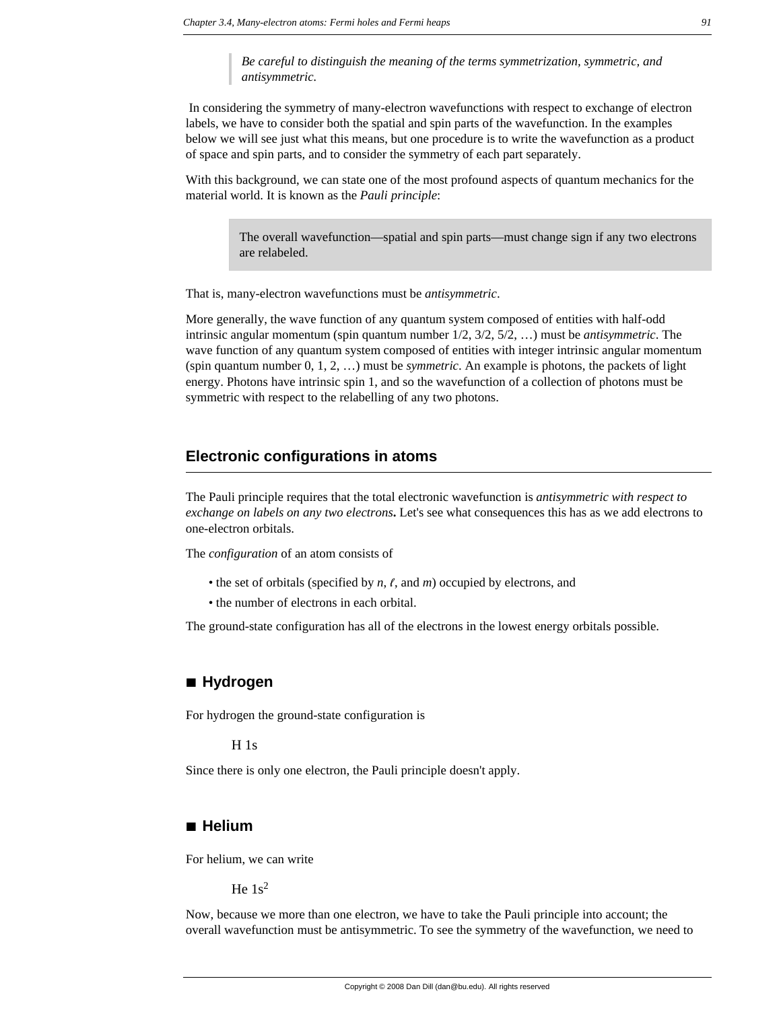*Be careful to distinguish the meaning of the terms symmetrization, symmetric, and antisymmetric.*

 In considering the symmetry of many-electron wavefunctions with respect to exchange of electron labels, we have to consider both the spatial and spin parts of the wavefunction. In the examples below we will see just what this means, but one procedure is to write the wavefunction as a product of space and spin parts, and to consider the symmetry of each part separately.

With this background, we can state one of the most profound aspects of quantum mechanics for the material world. It is known as the *Pauli principle*:

> The overall wavefunction—spatial and spin parts—must change sign if any two electrons are relabeled.

That is, many-electron wavefunctions must be *antisymmetric*.

More generally, the wave function of any quantum system composed of entities with half-odd intrinsic angular momentum (spin quantum number 1/2, 3/2, 5/2, …) must be *antisymmetric*. The wave function of any quantum system composed of entities with integer intrinsic angular momentum (spin quantum number 0, 1, 2, …) must be *symmetric*. An example is photons, the packets of light energy. Photons have intrinsic spin 1, and so the wavefunction of a collection of photons must be symmetric with respect to the relabelling of any two photons.

#### **Electronic configurations in atoms**

The Pauli principle requires that the total electronic wavefunction is *antisymmetric with respect to exchange on labels on any two electrons***.** Let's see what consequences this has as we add electrons to one-electron orbitals.

The *configuration* of an atom consists of

- the set of orbitals (specified by  $n, \ell$ , and  $m$ ) occupied by electrons, and
- the number of electrons in each orbital.

The ground-state configuration has all of the electrons in the lowest energy orbitals possible.

# **à Hydrogen**

For hydrogen the ground-state configuration is

H 1s

Since there is only one electron, the Pauli principle doesn't apply.

#### **à Helium**

For helium, we can write

He  $1s^2$ 

Now, because we more than one electron, we have to take the Pauli principle into account; the overall wavefunction must be antisymmetric. To see the symmetry of the wavefunction, we need to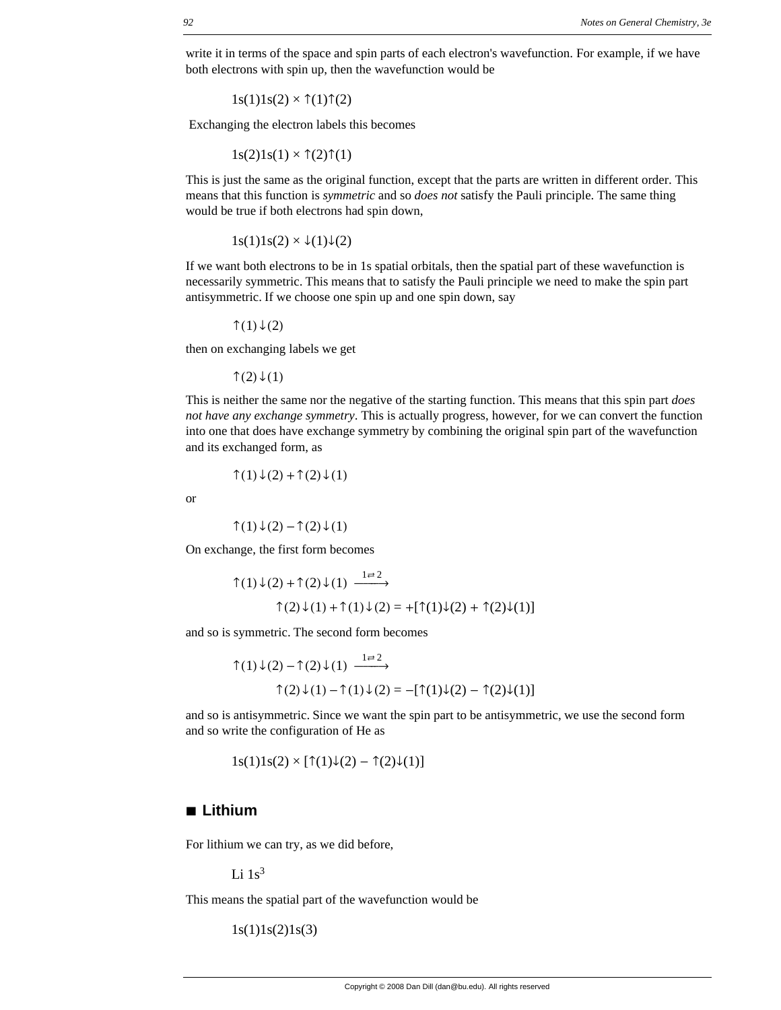write it in terms of the space and spin parts of each electron's wavefunction. For example, if we have both electrons with spin up, then the wavefunction would be

 $1s(1)1s(2) \times \uparrow(1)\uparrow(2)$ 

Exchanging the electron labels this becomes

 $1s(2)1s(1) \times \hat{T}(2)\hat{T}(1)$ 

This is just the same as the original function, except that the parts are written in different order. This means that this function is *symmetric* and so *does not* satisfy the Pauli principle. The same thing would be true if both electrons had spin down,

 $1s(1)1s(2) \times \sqrt{1}\sqrt{(2)}$ 

If we want both electrons to be in 1s spatial orbitals, then the spatial part of these wavefunction is necessarily symmetric. This means that to satisfy the Pauli principle we need to make the spin part antisymmetric. If we choose one spin up and one spin down, say

↑ $(1) \downarrow (2)$ 

then on exchanging labels we get

↑ $(2)$  ↓ $(1)$ 

This is neither the same nor the negative of the starting function. This means that this spin part *does not have any exchange symmetry*. This is actually progress, however, for we can convert the function into one that does have exchange symmetry by combining the original spin part of the wavefunction and its exchanged form, as

$$
\uparrow(1)\downarrow(2)+\uparrow(2)\downarrow(1)
$$

or

$$
\uparrow(1)\downarrow(2)-\uparrow(2)\downarrow(1)
$$

On exchange, the first form becomes

$$
\uparrow(1)\downarrow(2) + \uparrow(2)\downarrow(1) \xrightarrow{1 \rightleftarrows} \uparrow(2)\downarrow(1) + \uparrow(1)\downarrow(2) = +[\uparrow(1)\downarrow(2) + \uparrow(2)\downarrow(1)]
$$

and so is symmetric. The second form becomes

$$
\uparrow(1)\downarrow(2) - \uparrow(2)\downarrow(1) \xrightarrow{1 \rightleftarrows 2}
$$

$$
\uparrow(2)\downarrow(1) - \uparrow(1)\downarrow(2) = -[\uparrow(1)\downarrow(2) - \uparrow(2)\downarrow(1)]
$$

and so is antisymmetric. Since we want the spin part to be antisymmetric, we use the second form and so write the configuration of He as

$$
1s(1)1s(2) \times [\uparrow(1)\downarrow(2) - \uparrow(2)\downarrow(1)]
$$

# **à Lithium**

For lithium we can try, as we did before,

Li  $1s^3$ 

This means the spatial part of the wavefunction would be

 $1s(1)1s(2)1s(3)$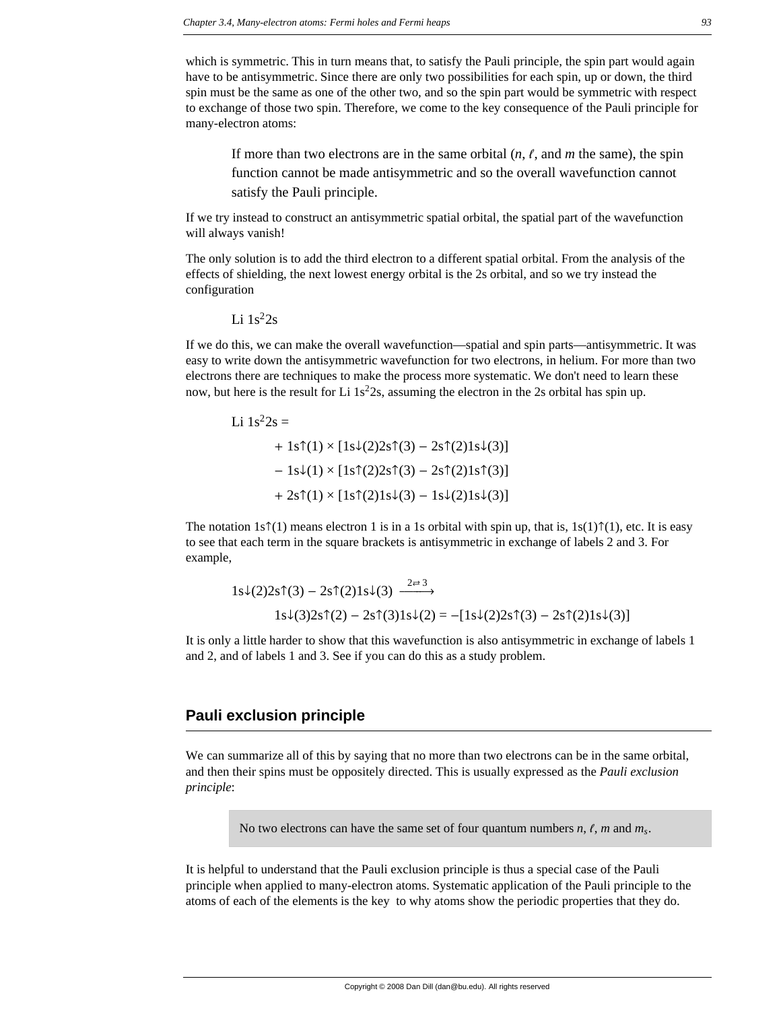which is symmetric. This in turn means that, to satisfy the Pauli principle, the spin part would again have to be antisymmetric. Since there are only two possibilities for each spin, up or down, the third spin must be the same as one of the other two, and so the spin part would be symmetric with respect to exchange of those two spin. Therefore, we come to the key consequence of the Pauli principle for many-electron atoms:

If more than two electrons are in the same orbital  $(n, \ell, \text{ and } m$  the same), the spin function cannot be made antisymmetric and so the overall wavefunction cannot satisfy the Pauli principle.

If we try instead to construct an antisymmetric spatial orbital, the spatial part of the wavefunction will always vanish!

The only solution is to add the third electron to a different spatial orbital. From the analysis of the effects of shielding, the next lowest energy orbital is the 2s orbital, and so we try instead the configuration

Li  $1s^22s$ 

If we do this, we can make the overall wavefunction—spatial and spin parts—antisymmetric. It was easy to write down the antisymmetric wavefunction for two electrons, in helium. For more than two electrons there are techniques to make the process more systematic. We don't need to learn these now, but here is the result for Li  $1s<sup>2</sup>2s$ , assuming the electron in the 2s orbital has spin up.

Li  $1s^22s =$  $+ 1$ s $\uparrow$ (1) × [1s $\downarrow$ (2)2s $\uparrow$ (3) – 2s $\uparrow$ (2)1s $\downarrow$ (3)]  $-1s\sqrt{(1)} \times [1s\sqrt[4]{(2)}2s\sqrt[4]{(3)} - 2s\sqrt[4]{(2)}1s\sqrt[4]{(3)}]$  $+ 2s(1) \times [1s(2)]s\sqrt{3} - 1s\sqrt{2}1s\sqrt{3}]$ 

The notation 1s $\hat{\tau}(1)$  means electron 1 is in a 1s orbital with spin up, that is,  $1s(1)\hat{\tau}(1)$ , etc. It is easy to see that each term in the square brackets is antisymmetric in exchange of labels 2 and 3. For example,

$$
1s\downarrow(2)2s\uparrow(3) - 2s\uparrow(2)1s\downarrow(3) \xrightarrow{2\rightleftarrows} 1s\downarrow(3)2s\uparrow(2) - 2s\uparrow(3)1s\downarrow(2) = -[1s\downarrow(2)2s\uparrow(3) - 2s\uparrow(2)1s\downarrow(3)]
$$

It is only a little harder to show that this wavefunction is also antisymmetric in exchange of labels 1 and 2, and of labels 1 and 3. See if you can do this as a study problem.

#### **Pauli exclusion principle**

We can summarize all of this by saying that no more than two electrons can be in the same orbital, and then their spins must be oppositely directed. This is usually expressed as the *Pauli exclusion principle*:

No two electrons can have the same set of four quantum numbers  $n, \ell, m$  and  $m_s$ .

It is helpful to understand that the Pauli exclusion principle is thus a special case of the Pauli principle when applied to many-electron atoms. Systematic application of the Pauli principle to the atoms of each of the elements is the key to why atoms show the periodic properties that they do.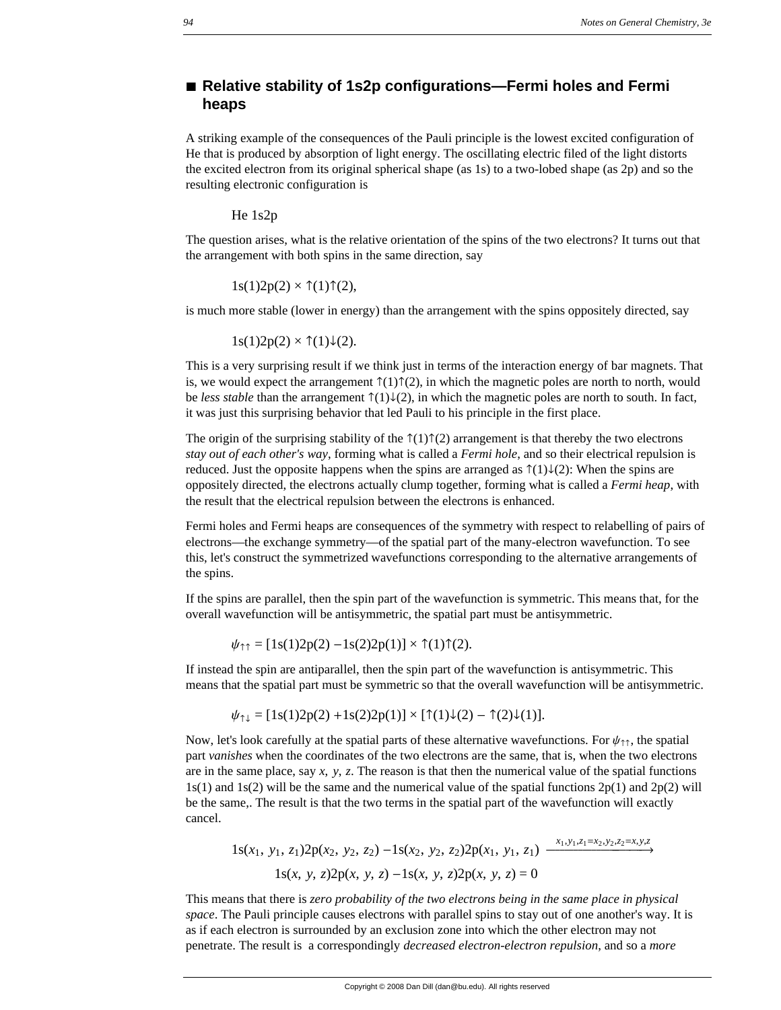# ■ **Relative stability of 1s2p configurations—Fermi holes and Fermi heaps**

A striking example of the consequences of the Pauli principle is the lowest excited configuration of He that is produced by absorption of light energy. The oscillating electric filed of the light distorts the excited electron from its original spherical shape (as 1s) to a two-lobed shape (as 2p) and so the resulting electronic configuration is

He 1s2p

The question arises, what is the relative orientation of the spins of the two electrons? It turns out that the arrangement with both spins in the same direction, say

 $1s(1)2p(2) \times \tau(1)\tau(2)$ ,

is much more stable (lower in energy) than the arrangement with the spins oppositely directed, say

 $1s(1)2p(2) \times \uparrow(1)\downarrow(2)$ .

This is a very surprising result if we think just in terms of the interaction energy of bar magnets. That is, we would expect the arrangement  $\hat{\tau}(1)\hat{\tau}(2)$ , in which the magnetic poles are north to north, would be *less stable* than the arrangement  $\hat{\tau}(1)\downarrow(2)$ , in which the magnetic poles are north to south. In fact, it was just this surprising behavior that led Pauli to his principle in the first place.

The origin of the surprising stability of the  $\hat{\tau}(1)\hat{\tau}(2)$  arrangement is that thereby the two electrons *stay out of each other's way*, forming what is called a *Fermi hole*, and so their electrical repulsion is reduced. Just the opposite happens when the spins are arranged as  $\hat{\tau}(1)\downarrow(2)$ : When the spins are oppositely directed, the electrons actually clump together, forming what is called a *Fermi heap*, with the result that the electrical repulsion between the electrons is enhanced.

Fermi holes and Fermi heaps are consequences of the symmetry with respect to relabelling of pairs of electrons—the exchange symmetry—of the spatial part of the many-electron wavefunction. To see this, let's construct the symmetrized wavefunctions corresponding to the alternative arrangements of the spins.

If the spins are parallel, then the spin part of the wavefunction is symmetric. This means that, for the overall wavefunction will be antisymmetric, the spatial part must be antisymmetric.

 $\psi_{\uparrow\uparrow} = [1s(1)2p(2) - 1s(2)2p(1)] \times \uparrow(1)\uparrow(2).$ 

If instead the spin are antiparallel, then the spin part of the wavefunction is antisymmetric. This means that the spatial part must be symmetric so that the overall wavefunction will be antisymmetric.

$$
\psi_{\uparrow\downarrow} = [1s(1)2p(2) + 1s(2)2p(1)] \times [\uparrow(1)\downarrow(2) - \uparrow(2)\downarrow(1)].
$$

Now, let's look carefully at the spatial parts of these alternative wavefunctions. For  $\psi_{\uparrow\uparrow}$ , the spatial part *vanishes* when the coordinates of the two electrons are the same, that is, when the two electrons are in the same place, say *x*, *y*, *z*. The reason is that then the numerical value of the spatial functions  $1s(1)$  and  $1s(2)$  will be the same and the numerical value of the spatial functions  $2p(1)$  and  $2p(2)$  will be the same,. The result is that the two terms in the spatial part of the wavefunction will exactly cancel.

$$
1s(x_1, y_1, z_1)2p(x_2, y_2, z_2) - 1s(x_2, y_2, z_2)2p(x_1, y_1, z_1) \xrightarrow{x_1, y_1, z_1=x_2, y_2, z_2=x, y, z}
$$

$$
1s(x, y, z)2p(x, y, z) - 1s(x, y, z)2p(x, y, z) = 0
$$

This means that there is *zero probability of the two electrons being in the same place in physical space*. The Pauli principle causes electrons with parallel spins to stay out of one another's way. It is as if each electron is surrounded by an exclusion zone into which the other electron may not penetrate. The result is a correspondingly *decreased electron-electron repulsion*, and so a *more*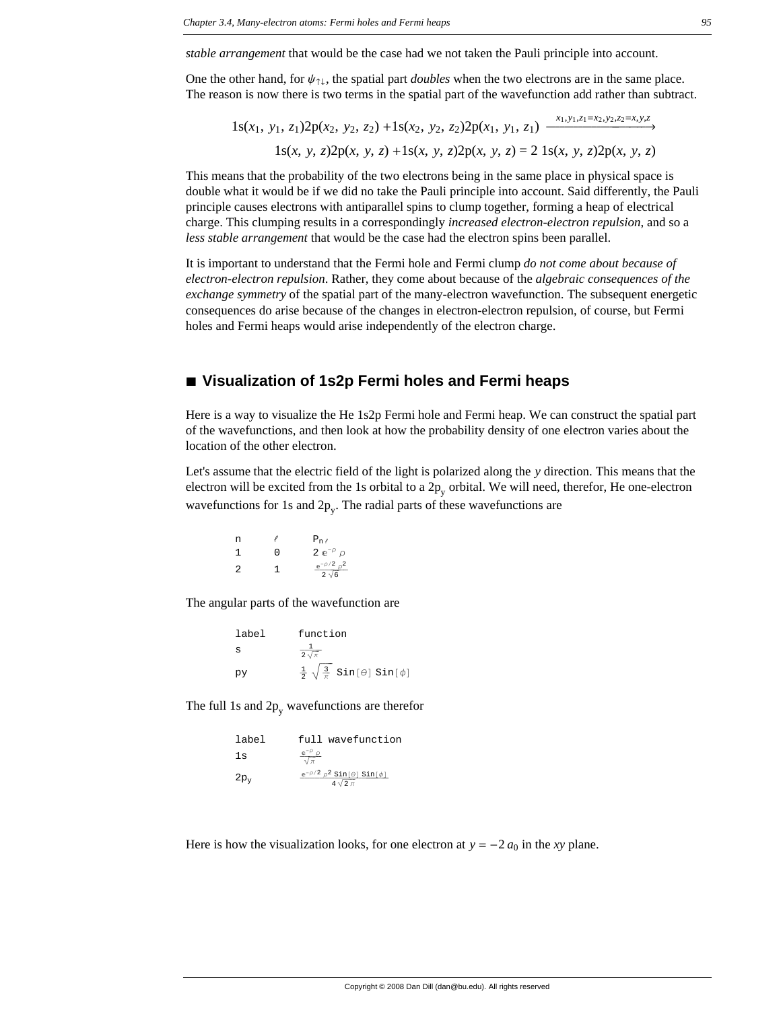*stable arrangement* that would be the case had we not taken the Pauli principle into account.

One the other hand, for  $\psi_{\uparrow\downarrow}$ , the spatial part *doubles* when the two electrons are in the same place. The reason is now there is two terms in the spatial part of the wavefunction add rather than subtract.

 $1s(x_1, y_1, z_1)2p(x_2, y_2, z_2) + 1s(x_2, y_2, z_2)2p(x_1, y_1, z_1) \xrightarrow{x_1, y_1, z_1=x_2, y_2, z_2=x, y, z}$ 1s(*x*, *y*, *z*)2p(*x*, *y*, *z*) +1s(*x*, *y*, *z*)2p(*x*, *y*, *z*) = 2 1s(*x*, *y*, *z*)2p(*x*, *y*, *z*)

This means that the probability of the two electrons being in the same place in physical space is double what it would be if we did no take the Pauli principle into account. Said differently, the Pauli principle causes electrons with antiparallel spins to clump together, forming a heap of electrical charge. This clumping results in a correspondingly *increased electron-electron repulsion*, and so a *less stable arrangement* that would be the case had the electron spins been parallel.

It is important to understand that the Fermi hole and Fermi clump *do not come about because of electron-electron repulsion*. Rather, they come about because of the *algebraic consequences of the exchange symmetry* of the spatial part of the many-electron wavefunction. The subsequent energetic consequences do arise because of the changes in electron-electron repulsion, of course, but Fermi holes and Fermi heaps would arise independently of the electron charge.

#### **à Visualization of 1s2p Fermi holes and Fermi heaps**

Here is a way to visualize the He 1s2p Fermi hole and Fermi heap. We can construct the spatial part of the wavefunctions, and then look at how the probability density of one electron varies about the location of the other electron.

Let's assume that the electric field of the light is polarized along the *y* direction. This means that the electron will be excited from the 1s orbital to a  $2p_v$  orbital. We will need, therefor, He one-electron wavefunctions for 1s and  $2p_v$ . The radial parts of these wavefunctions are

| n |   | $P_{n\ell}$                         |
|---|---|-------------------------------------|
| 1 | O | 2 $e^{-\rho}$ $\rho$                |
| 2 | 1 | $e^{-\rho/2} \rho^2$<br>$2\sqrt{6}$ |

The angular parts of the wavefunction are

| label | function                                                   |
|-------|------------------------------------------------------------|
| S     | $2\sqrt{\pi}$                                              |
| py    | $\frac{1}{2} \sqrt{\frac{3}{\pi}} \sin[\theta] \sin[\phi]$ |

The full 1s and  $2p_v$  wavefunctions are therefor

| label  | full wavefunction                                              |
|--------|----------------------------------------------------------------|
| 1s     | $e^{-\rho}$ $\rho$<br>$\sqrt{\pi}$                             |
| $2p_v$ | $e^{-\rho/2} \rho^2 \sin[\theta] \sin[\phi]$<br>$4\sqrt{2}\pi$ |

Here is how the visualization looks, for one electron at  $y = -2 a_0$  in the *xy* plane.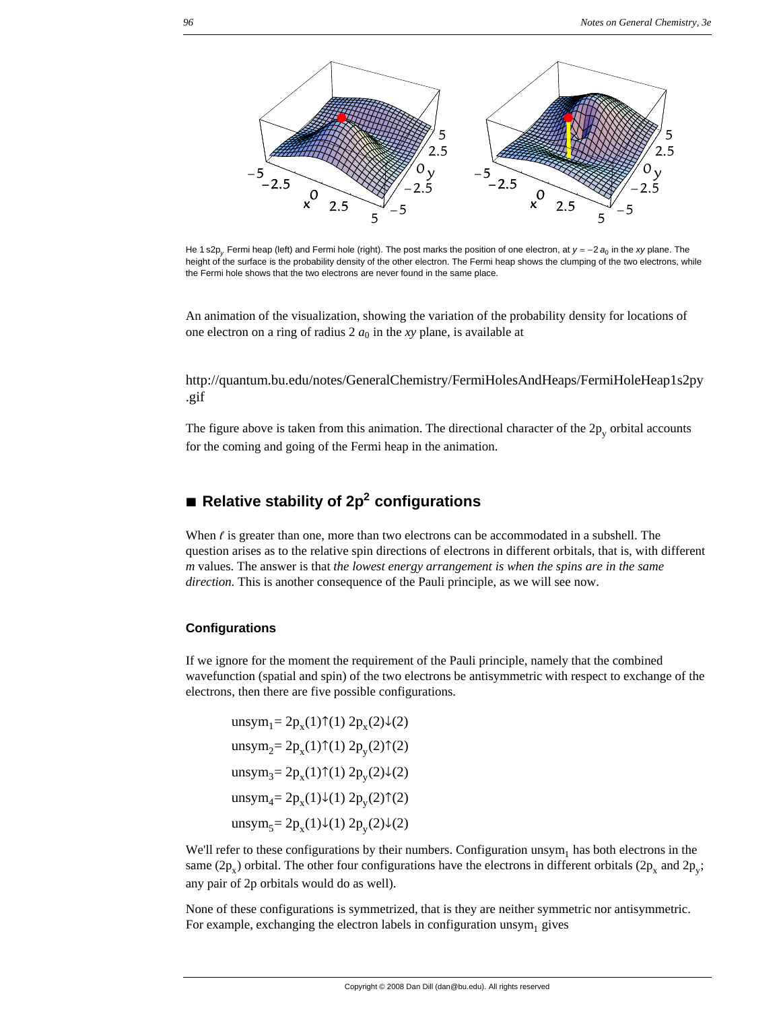

He 1 s2p<sub>v</sub>. Fermi heap (left) and Fermi hole (right). The post marks the position of one electron, at  $y = -2 a<sub>0</sub>$  in the *xy* plane. The height of the surface is the probability density of the other electron. The Fermi heap shows the clumping of the two electrons, while the Fermi hole shows that the two electrons are never found in the same place.

An animation of the visualization, showing the variation of the probability density for locations of one electron on a ring of radius  $2 a_0$  in the *xy* plane, is available at

http://quantum.bu.edu/notes/GeneralChemistry/FermiHolesAndHeaps/FermiHoleHeap1s2py .gif

The figure above is taken from this animation. The directional character of the  $2p_v$  orbital accounts for the coming and going of the Fermi heap in the animation.

# ■ **Relative stability of 2p<sup>2</sup> configurations**

When  $\ell$  is greater than one, more than two electrons can be accommodated in a subshell. The question arises as to the relative spin directions of electrons in different orbitals, that is, with different *m* values. The answer is that *the lowest energy arrangement is when the spins are in the same direction*. This is another consequence of the Pauli principle, as we will see now.

#### **Configurations**

If we ignore for the moment the requirement of the Pauli principle, namely that the combined wavefunction (spatial and spin) of the two electrons be antisymmetric with respect to exchange of the electrons, then there are five possible configurations.

unsym<sub>1</sub>=  $2p_x(1)$  $\uparrow$ (1)  $2p_x(2)\downarrow$ (2) unsym<sub>2</sub>=  $2p_x(1)\uparrow(1) 2p_y(2)\uparrow(2)$ unsym<sub>3</sub>=  $2p_x(1)$  $\uparrow$ (1)  $2p_y(2) \downarrow$ (2) unsym<sub>4</sub>=  $2p_x(1)\downarrow(1) 2p_y(2)\uparrow(2)$ unsym<sub>5</sub>=  $2p_x(1)\downarrow(1) 2p_y(2)\downarrow(2)$ 

We'll refer to these configurations by their numbers. Configuration  $\text{unsym}_1$  has both electrons in the same (2p<sub>x</sub>) orbital. The other four configurations have the electrons in different orbitals (2p<sub>x</sub> and 2p<sub>y</sub>; any pair of 2p orbitals would do as well).

None of these configurations is symmetrized, that is they are neither symmetric nor antisymmetric. For example, exchanging the electron labels in configuration unsym<sub>1</sub> gives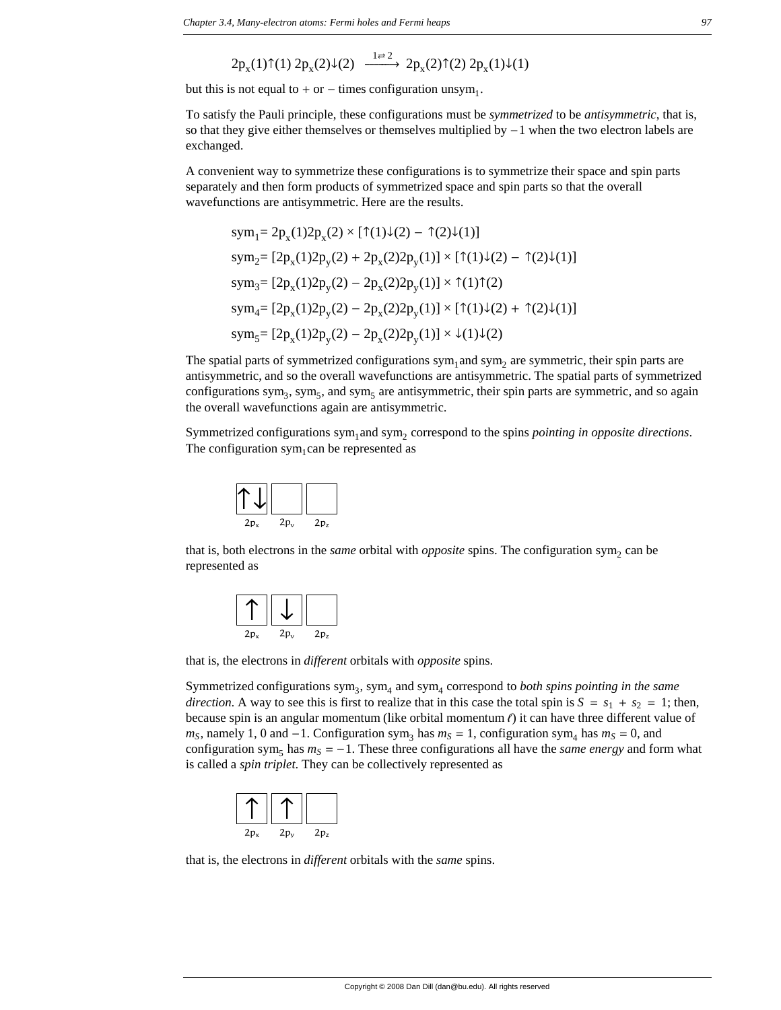$$
2p_x(1) \uparrow (1) 2p_x(2) \downarrow (2) \xrightarrow{1 \rightleftarrows 2} 2p_x(2) \uparrow (2) 2p_x(1) \downarrow (1)
$$

but this is not equal to  $+$  or  $-$  times configuration unsym<sub>1</sub>.

To satisfy the Pauli principle, these configurations must be *symmetrized* to be *antisymmetric*, that is, so that they give either themselves or themselves multiplied by  $-1$  when the two electron labels are exchanged.

A convenient way to symmetrize these configurations is to symmetrize their space and spin parts separately and then form products of symmetrized space and spin parts so that the overall wavefunctions are antisymmetric. Here are the results.

$$
sym_1 = 2p_x(1)2p_x(2) \times [\uparrow(1)\downarrow(2) - \uparrow(2)\downarrow(1)]
$$
  
\n
$$
sym_2 = [2p_x(1)2p_y(2) + 2p_x(2)2p_y(1)] \times [\uparrow(1)\downarrow(2) - \uparrow(2)\downarrow(1)]
$$
  
\n
$$
sym_3 = [2p_x(1)2p_y(2) - 2p_x(2)2p_y(1)] \times \uparrow(1)\uparrow(2)
$$
  
\n
$$
sym_4 = [2p_x(1)2p_y(2) - 2p_x(2)2p_y(1)] \times [\uparrow(1)\downarrow(2) + \uparrow(2)\downarrow(1)]
$$
  
\n
$$
sym_5 = [2p_x(1)2p_y(2) - 2p_x(2)2p_y(1)] \times \downarrow(1)\downarrow(2)
$$

The spatial parts of symmetrized configurations sym<sub>1</sub> and sym<sub>2</sub> are symmetric, their spin parts are antisymmetric, and so the overall wavefunctions are antisymmetric. The spatial parts of symmetrized configurations sym<sub>3</sub>, sym<sub>5</sub>, and sym<sub>5</sub> are antisymmetric, their spin parts are symmetric, and so again the overall wavefunctions again are antisymmetric.

Symmetrized configurations sym<sub>1</sub> and sym<sub>2</sub> correspond to the spins *pointing in opposite directions*. The configuration sym<sub>1</sub>can be represented as



that is, both electrons in the *same* orbital with *opposite* spins. The configuration sym<sub>2</sub> can be represented as

| $2p_x$ | $2p_v$ | 2p <sub>z</sub> |
|--------|--------|-----------------|

that is, the electrons in *different* orbitals with *opposite* spins.

Symmetrized configurations  $sym_3$ ,  $sym_4$  and  $sym_4$  correspond to *both spins pointing in the same direction*. A way to see this is first to realize that in this case the total spin is  $S = s_1 + s_2 = 1$ ; then, because spin is an angular momentum (like orbital momentum  $\ell$ ) it can have three different value of  $m<sub>S</sub>$ , namely 1, 0 and  $-1$ . Configuration sym<sub>3</sub> has  $m<sub>S</sub> = 1$ , configuration sym<sub>4</sub> has  $m<sub>S</sub> = 0$ , and configuration sym<sub>5</sub> has  $m<sub>S</sub> = -1$ . These three configurations all have the *same energy* and form what is called a *spin triplet*. They can be collectively represented as



that is, the electrons in *different* orbitals with the *same* spins.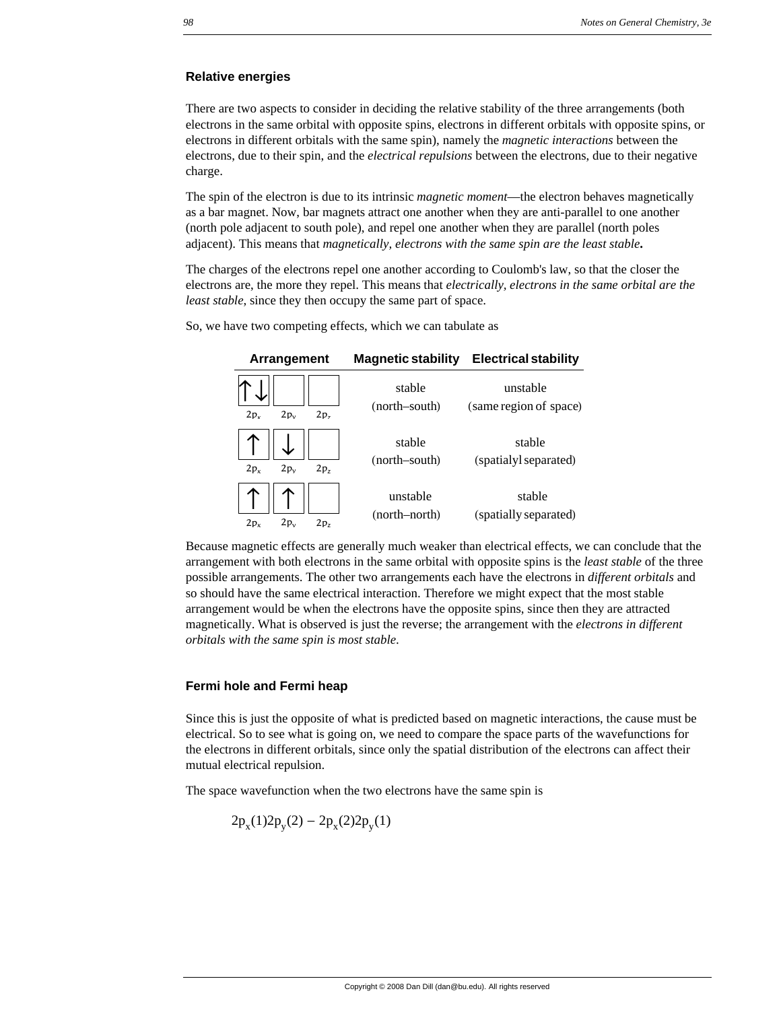#### **Relative energies**

There are two aspects to consider in deciding the relative stability of the three arrangements (both electrons in the same orbital with opposite spins, electrons in different orbitals with opposite spins, or electrons in different orbitals with the same spin), namely the *magnetic interactions* between the electrons, due to their spin, and the *electrical repulsions* between the electrons, due to their negative charge.

The spin of the electron is due to its intrinsic *magnetic moment*—the electron behaves magnetically as a bar magnet. Now, bar magnets attract one another when they are anti-parallel to one another (north pole adjacent to south pole), and repel one another when they are parallel (north poles adjacent). This means that *magnetically, electrons with the same spin are the least stable***.**

The charges of the electrons repel one another according to Coulomb's law, so that the closer the electrons are, the more they repel. This means that *electrically, electrons in the same orbital are the least stable*, since they then occupy the same part of space.

So, we have two competing effects, which we can tabulate as

| Arrangement                                  | <b>Magnetic stability</b> | <b>Electrical stability</b>        |
|----------------------------------------------|---------------------------|------------------------------------|
| $2p_v$<br>2p <sub>z</sub><br>2p <sub>x</sub> | stable<br>(north–south)   | unstable<br>(same region of space) |
| $2p_v$<br>2p <sub>z</sub><br>$2p_v$          | stable<br>(north-south)   | stable<br>(spatialyl separated)    |
| $2p_v$<br>2p <sub>7</sub><br>2p <sub>x</sub> | unstable<br>(north-north) | stable<br>(spatially separated)    |

Because magnetic effects are generally much weaker than electrical effects, we can conclude that the arrangement with both electrons in the same orbital with opposite spins is the *least stable* of the three possible arrangements. The other two arrangements each have the electrons in *different orbitals* and so should have the same electrical interaction. Therefore we might expect that the most stable arrangement would be when the electrons have the opposite spins, since then they are attracted magnetically. What is observed is just the reverse; the arrangement with the *electrons in different orbitals with the same spin is most stable*.

#### **Fermi hole and Fermi heap**

Since this is just the opposite of what is predicted based on magnetic interactions, the cause must be electrical. So to see what is going on, we need to compare the space parts of the wavefunctions for the electrons in different orbitals, since only the spatial distribution of the electrons can affect their mutual electrical repulsion.

The space wavefunction when the two electrons have the same spin is

$$
2p_x(1)2p_y(2) - 2p_x(2)2p_y(1)
$$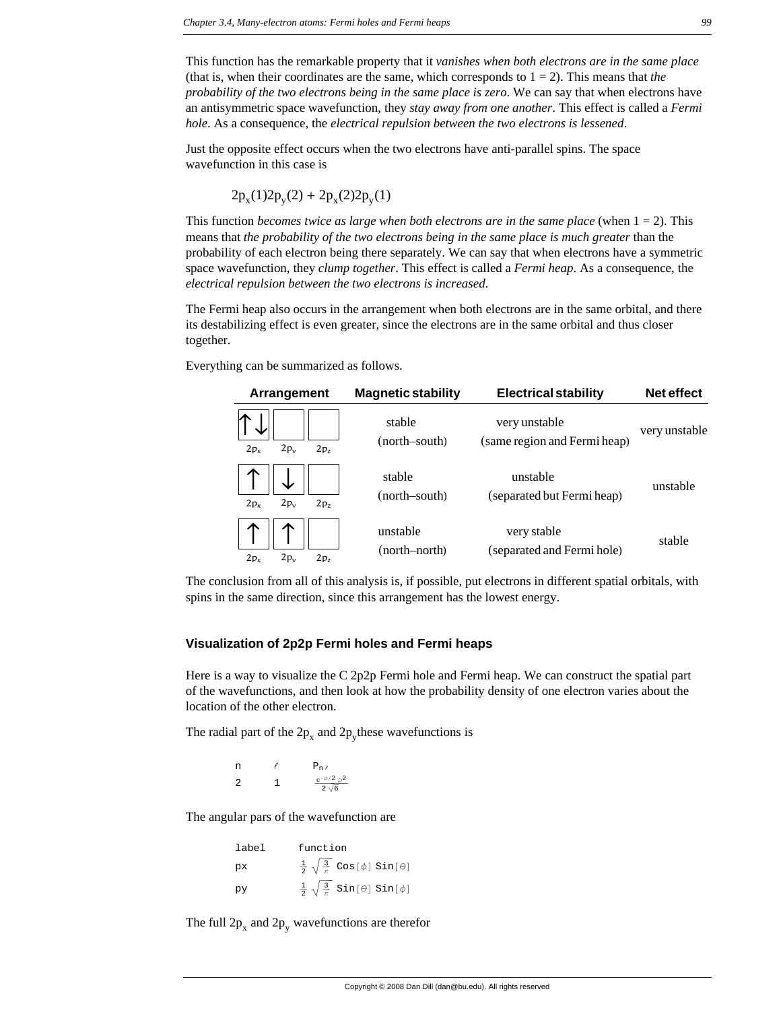This function has the remarkable property that it *vanishes when both electrons are in the same place* (that is, when their coordinates are the same, which corresponds to  $1 = 2$ ). This means that *the probability of the two electrons being in the same place is zero*. We can say that when electrons have an antisymmetric space wavefunction, they *stay away from one another*. This effect is called a *Fermi hole*. As a consequence, the *electrical repulsion between the two electrons is lessened*.

Just the opposite effect occurs when the two electrons have anti-parallel spins. The space wavefunction in this case is

$$
2p_x(1)2p_y(2) + 2p_x(2)2p_y(1)
$$

This function *becomes twice as large when both electrons are in the same place* (when 1 = 2). This means that *the probability of the two electrons being in the same place is much greater* than the probability of each electron being there separately. We can say that when electrons have a symmetric space wavefunction, they *clump together*. This effect is called a *Fermi heap*. As a consequence, the *electrical repulsion between the two electrons is increased*.

The Fermi heap also occurs in the arrangement when both electrons are in the same orbital, and there its destabilizing effect is even greater, since the electrons are in the same orbital and thus closer together.

Everything can be summarized as follows.

| Arrangement                                  | <b>Magnetic stability</b> | <b>Electrical stability</b>                   | Net effect    |
|----------------------------------------------|---------------------------|-----------------------------------------------|---------------|
| $2p_v$<br>2p <sub>x</sub><br>2p <sub>7</sub> | stable<br>(north–south)   | very unstable<br>(same region and Fermi heap) | very unstable |
| 2p <sub>x</sub><br>2p <sub>z</sub><br>$2p_v$ | stable<br>(north–south)   | unstable<br>(separated but Fermi heap)        | unstable      |
| 2p <sub>x</sub><br>$2p_v$<br>2p <sub>z</sub> | unstable<br>(north–north) | very stable<br>(separated and Fermi hole)     | stable        |

The conclusion from all of this analysis is, if possible, put electrons in different spatial orbitals, with spins in the same direction, since this arrangement has the lowest energy.

#### **Visualization of 2p2p Fermi holes and Fermi heaps**

Here is a way to visualize the C 2p2p Fermi hole and Fermi heap. We can construct the spatial part of the wavefunctions, and then look at how the probability density of one electron varies about the location of the other electron.

The radial part of the  $2p_x$  and  $2p_y$  these wavefunctions is

n  $\ell$  P<sub>n  $\ell$ </sub> 2 1  $\frac{e^{-\rho/2} \rho^2}{2 \sqrt{6}}$ 

The angular pars of the wavefunction are

| label | function                                                         |
|-------|------------------------------------------------------------------|
| pх    | $\frac{1}{2} \sqrt{\frac{3}{\pi}} \cos[\phi] \sin[\theta]$       |
| py    | $\frac{1}{2} \sqrt{\frac{3}{\pi}}$ Sin[ $\theta$ ] Sin[ $\phi$ ] |

The full  $2p_x$  and  $2p_y$  wavefunctions are therefor